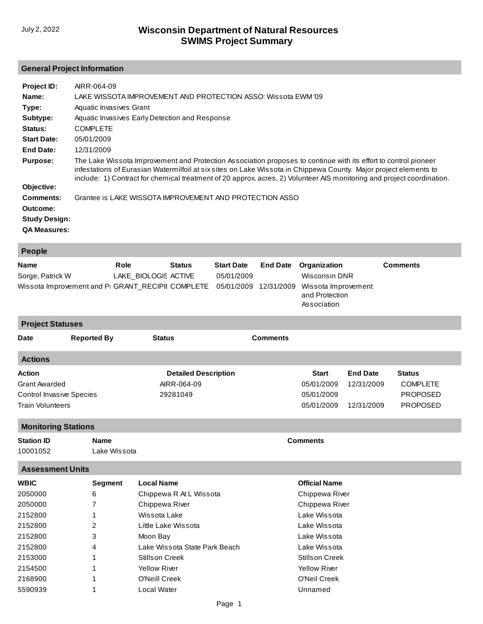## **General Project Information**

| Project ID:<br>Name:<br>Type:<br>Subtype:<br>Status:<br><b>Start Date:</b> | AIRR-064-09<br>LAKE WISSOTA IMPROVEMENT AND PROTECTION ASSO: Wissota EWM '09<br>Aquatic Invasives Grant<br>Aquatic Invasives Early Detection and Response<br><b>COMPLETE</b><br>05/01/2009                                                                                                                                                                    |
|----------------------------------------------------------------------------|---------------------------------------------------------------------------------------------------------------------------------------------------------------------------------------------------------------------------------------------------------------------------------------------------------------------------------------------------------------|
| End Date:                                                                  | 12/31/2009                                                                                                                                                                                                                                                                                                                                                    |
| <b>Purpose:</b>                                                            | The Lake Wissota Improvement and Protection Association proposes to continue with its effort to control pioneer<br>infestations of Eurasian Watermilfoil at six sites on Lake Wissota in Chippewa County. Major project elements to<br>include: 1) Contract for chemical treatment of 20 approx. acres, 2) Volunteer AIS monitoring and project coordination. |
| Objective:                                                                 |                                                                                                                                                                                                                                                                                                                                                               |
| Comments:                                                                  | Grantee is LAKE WISSOTA IMPROVEMENT AND PROTECTION ASSO                                                                                                                                                                                                                                                                                                       |
| Outcome:<br><b>Study Design:</b><br><b>QA Measures:</b>                    |                                                                                                                                                                                                                                                                                                                                                               |

| People                                                                                      |                      |               |                   |                               |                 |
|---------------------------------------------------------------------------------------------|----------------------|---------------|-------------------|-------------------------------|-----------------|
| <b>Name</b>                                                                                 | Role                 | <b>Status</b> | <b>Start Date</b> | <b>End Date</b> Organization  | <b>Comments</b> |
| Sorge, Patrick W                                                                            | LAKE_BIOLOGIS ACTIVE |               | 05/01/2009        | Wisconsin DNR                 |                 |
| Wissota Improvement and Pi GRANT_RECIPII COMPLETE 05/01/2009 12/31/2009 Wissota Improvement |                      |               |                   | and Protection<br>Association |                 |
| <b>Project Statuses</b>                                                                     |                      |               |                   |                               |                 |

| <b>Date</b>                                                | <b>Reported By</b> | <b>Status</b>               | <b>Comments</b> |                          |                 |                                    |
|------------------------------------------------------------|--------------------|-----------------------------|-----------------|--------------------------|-----------------|------------------------------------|
| <b>Actions</b>                                             |                    |                             |                 |                          |                 |                                    |
| Action                                                     |                    | <b>Detailed Description</b> |                 | <b>Start</b>             | <b>End Date</b> | <b>Status</b>                      |
| <b>Grant Awarded</b>                                       |                    | AIRR-064-09                 |                 | 05/01/2009               | 12/31/2009      | <b>COMPLETE</b>                    |
| <b>Control Invasive Species</b><br><b>Train Volunteers</b> |                    | 29281049                    |                 | 05/01/2009<br>05/01/2009 | 12/31/2009      | <b>PROPOSED</b><br><b>PROPOSED</b> |

## **Monitoring Stations**

| <b>Station ID</b>       | <b>Name</b>  | <b>Comments</b> |  |  |  |
|-------------------------|--------------|-----------------|--|--|--|
| 10001052                | Lake Wissota |                 |  |  |  |
| <b>Assessment Units</b> |              |                 |  |  |  |

| <b>WBIC</b> | Segment | <b>Local Name</b>             | <b>Official Name</b> |
|-------------|---------|-------------------------------|----------------------|
| 2050000     | 6       | Chippewa R At L Wissota       | Chippewa River       |
| 2050000     |         | Chippewa River                | Chippewa River       |
| 2152800     |         | Wissota Lake                  | Lake Wissota         |
| 2152800     | 2       | Little Lake Wissota           | Lake Wissota         |
| 2152800     | 3       | Moon Bay                      | Lake Wissota         |
| 2152800     | 4       | Lake Wissota State Park Beach | Lake Wissota         |
| 2153000     |         | <b>Stillson Creek</b>         | Stillson Creek       |
| 2154500     |         | <b>Yellow River</b>           | <b>Yellow River</b>  |
| 2168900     |         | O'Neill Creek                 | O'Neil Creek         |
| 5590939     |         | Local Water                   | Unnamed              |